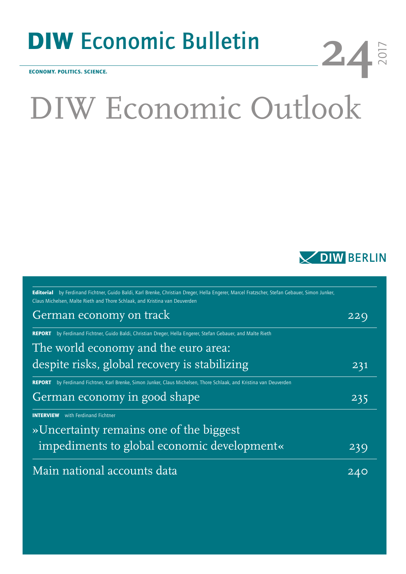# DIW Economic Bulletin

ECONOMY. POLITICS. SCIENCE.

# DIW Economic Outlook



2017

**24**

| Editorial by Ferdinand Fichtner, Guido Baldi, Karl Brenke, Christian Dreger, Hella Engerer, Marcel Fratzscher, Stefan Gebauer, Simon Junker,<br>Claus Michelsen, Malte Rieth and Thore Schlaak, and Kristina van Deuverden |     |
|----------------------------------------------------------------------------------------------------------------------------------------------------------------------------------------------------------------------------|-----|
| German economy on track                                                                                                                                                                                                    | 22C |
| by Ferdinand Fichtner, Guido Baldi, Christian Dreger, Hella Engerer, Stefan Gebauer, and Malte Rieth<br><b>REPORT</b>                                                                                                      |     |
| The world economy and the euro area:                                                                                                                                                                                       |     |
| despite risks, global recovery is stabilizing                                                                                                                                                                              | 231 |
| by Ferdinand Fichtner, Karl Brenke, Simon Junker, Claus Michelsen, Thore Schlaak, and Kristina van Deuverden<br><b>REPORT</b>                                                                                              |     |
| German economy in good shape                                                                                                                                                                                               | 235 |
| with Ferdinand Fichtner<br><b>INTERVIEW</b>                                                                                                                                                                                |     |
| » Uncertainty remains one of the biggest                                                                                                                                                                                   |     |
| impediments to global economic development«                                                                                                                                                                                | 239 |
| Main national accounts data                                                                                                                                                                                                | 240 |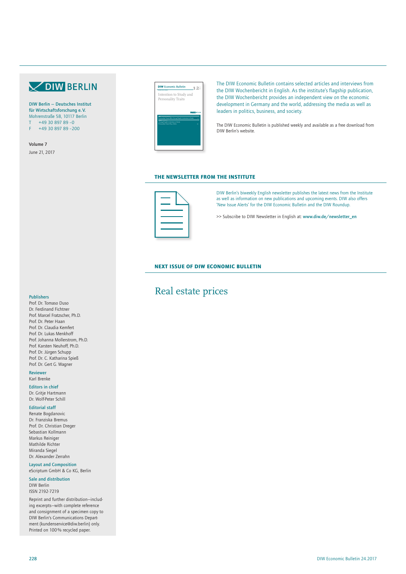# **VOIW BERLIN**

DIW Berlin — Deutsches Institut für Wirtschaftsforschung e. V. Mohrenstraße 58, 10117 Berlin  $+49$  30 897 89 -0 F +49 30 897 89 –200

Volume 7 June 21, 2017



The DIW Economic Bulletin contains selected articles and interviews from the DIW Wochenbericht in English. As the institute's flagship publication, the DIW Wochenbericht provides an independent view on the economic development in Germany and the world, addressing the media as well as leaders in politics, business, and society.

The DIW Economic Bulletin is published weekly and available as a free download from DIW Berlin's website.

### THE NEWSLETTER FROM THE INSTITUTE



DIW Berlin's biweekly English newsletter publishes the latest news from the Institute as well as information on new publications and upcoming events. DIW also offers 'New Issue Alerts' for the DIW Economic Bulletin and the DIW Roundup.

>> Subscribe to DIW Newsletter in English at: www.diw.de/newsletter\_en

## NEXT ISSUE OF DIW ECONOMIC BULLETIN

# Real estate prices

#### Publishers

Prof. Dr. Tomaso Duso Dr. Ferdinand Fichtner Prof. Marcel Fratzscher, Ph.D. Prof. Dr. Peter Haan Prof. Dr. Claudia Kemfert Prof. Dr. Lukas Menkhoff Prof. Johanna Mollerstrom, Ph.D. Prof. Karsten Neuhoff, Ph.D. Prof. Dr. Jürgen Schupp Prof. Dr. C. Katharina Spieß Prof. Dr. Gert G. Wagner

Reviewer Karl Brenke

Editors in chief Dr. Gritje Hartmann Dr. Wolf-Peter Schill

#### Editorial staff

Renate Bogdanovic Dr. Franziska Bremus Prof. Dr. Christian Dreger Sebastian Kollmann Markus Reiniger Mathilde Richter Miranda Siegel Dr. Alexander Zerrahn

Layout and Composition eScriptum GmbH & Co KG, Berlin

Sale and distribution DIW Berlin ISSN 2192-7219

Reprint and further distribution—including excerpts—with complete reference and consignment of a specimen copy to DIW Berlin's Communications Department (kundenservice@diw.berlin) only. Printed on 100% recycled paper.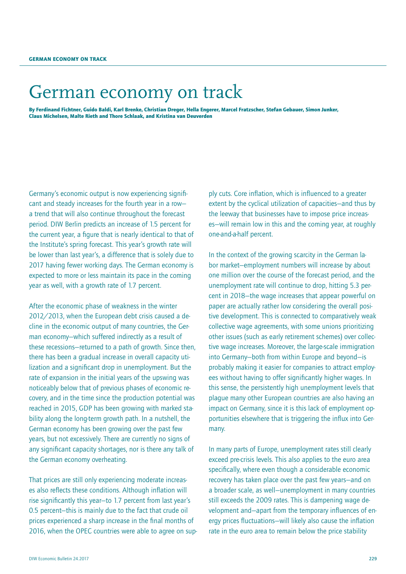# <span id="page-2-0"></span>German economy on track

By Ferdinand Fichtner, Guido Baldi, Karl Brenke, Christian Dreger, Hella Engerer, Marcel Fratzscher, Stefan Gebauer, Simon Junker, Claus Michelsen, Malte Rieth and Thore Schlaak, and Kristina van Deuverden

Germany's economic output is now experiencing significant and steady increases for the fourth year in a row a trend that will also continue throughout the forecast period. DIW Berlin predicts an increase of 1.5 percent for the current year, a figure that is nearly identical to that of the Institute's spring forecast. This year's growth rate will be lower than last year's, a difference that is solely due to 2017 having fewer working days. The German economy is expected to more or less maintain its pace in the coming year as well, with a growth rate of 1.7 percent.

After the economic phase of weakness in the winter 2012/2013, when the European debt crisis caused a decline in the economic output of many countries, the German economy—which suffered indirectly as a result of these recessions—returned to a path of growth. Since then, there has been a gradual increase in overall capacity utilization and a significant drop in unemployment. But the rate of expansion in the initial years of the upswing was noticeably below that of previous phases of economic recovery, and in the time since the production potential was reached in 2015, GDP has been growing with marked stability along the long-term growth path. In a nutshell, the German economy has been growing over the past few years, but not excessively. There are currently no signs of any significant capacity shortages, nor is there any talk of the German economy overheating.

That prices are still only experiencing moderate increases also reflects these conditions. Although inflation will rise significantly this year—to 1.7 percent from last year's 0.5 percent—this is mainly due to the fact that crude oil prices experienced a sharp increase in the final months of 2016, when the OPEC countries were able to agree on supply cuts. Core inflation, which is influenced to a greater extent by the cyclical utilization of capacities—and thus by the leeway that businesses have to impose price increases—will remain low in this and the coming year, at roughly one-and-a-half percent.

In the context of the growing scarcity in the German labor market—employment numbers will increase by about one million over the course of the forecast period, and the unemployment rate will continue to drop, hitting 5.3 percent in 2018—the wage increases that appear powerful on paper are actually rather low considering the overall positive development. This is connected to comparatively weak collective wage agreements, with some unions prioritizing other issues (such as early retirement schemes) over collective wage increases. Moreover, the large-scale immigration into Germany—both from within Europe and beyond—is probably making it easier for companies to attract employees without having to offer significantly higher wages. In this sense, the persistently high unemployment levels that plague many other European countries are also having an impact on Germany, since it is this lack of employment opportunities elsewhere that is triggering the influx into Germany.

In many parts of Europe, unemployment rates still clearly exceed pre-crisis levels. This also applies to the euro area specifically, where even though a considerable economic recovery has taken place over the past few years—and on a broader scale, as well—unemployment in many countries still exceeds the 2009 rates. This is dampening wage development and—apart from the temporary influences of energy prices fluctuations—will likely also cause the inflation rate in the euro area to remain below the price stability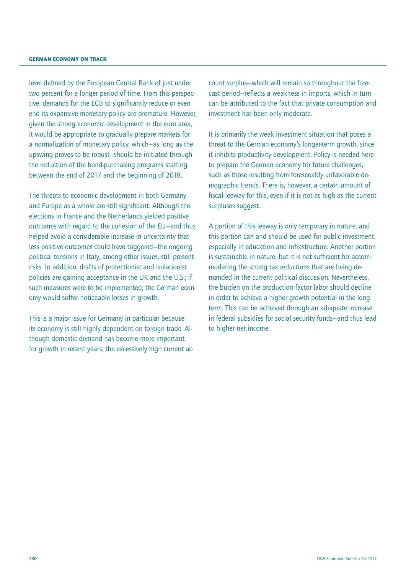level defined by the European Central Bank of just under two percent for a longer period of time. From this perspective, demands for the ECB to significantly reduce or even end its expansive monetary policy are premature. However, given the strong economic development in the euro area, it would be appropriate to gradually prepare markets for a normalization of monetary policy, which—as long as the upswing proves to be robust—should be initiated through the reduction of the bond-purchasing programs starting between the end of 2017 and the beginning of 2018.

The threats to economic development in both Germany and Europe as a whole are still significant. Although the elections in France and the Netherlands yielded positive outcomes with regard to the cohesion of the EU—and thus helped avoid a considerable increase in uncertainty that less positive outcomes could have triggered—the ongoing political tensions in Italy, among other issues, still present risks. In addition, drafts of protectionist and isolationist policies are gaining acceptance in the UK and the U.S.; if such measures were to be implemented, the German economy would suffer noticeable losses in growth.

This is a major issue for Germany in particular because its economy is still highly dependent on foreign trade. Although domestic demand has become more important for growth in recent years, the excessively high current account surplus—which will remain so throughout the forecast period—reflects a weakness in imports, which in turn can be attributed to the fact that private consumption and investment has been only moderate.

It is primarily the weak investment situation that poses a threat to the German economy's longer-term growth, since it inhibits productivity development. Policy is needed here to prepare the German economy for future challenges, such as those resulting from foreseeably unfavorable demographic trends. There is, however, a certain amount of fiscal leeway for this, even if it is not as high as the current surpluses suggest.

A portion of this leeway is only temporary in nature, and this portion can and should be used for public investment, especially in education and infrastructure. Another portion is sustainable in nature, but it is not sufficient for accommodating the strong tax reductions that are being demanded in the current political discussion. Nevertheless, the burden on the production factor labor should decline in order to achieve a higher growth potential in the long term. This can be achieved through an adequate increase in federal subsidies for social security funds—and thus lead to higher net income.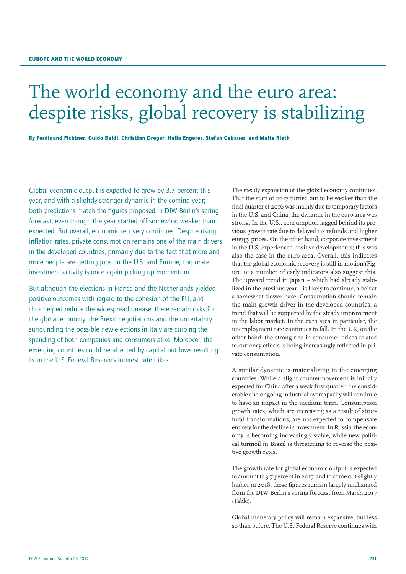# <span id="page-4-0"></span>The world economy and the euro area: despite risks, global recovery is stabilizing

By Ferdinand Fichtner, Guido Baldi, Christian Dreger, Hella Engerer, Stefan Gebauer, and Malte Rieth

Global economic output is expected to grow by 3.7 percent this year, and with a slightly stronger dynamic in the coming year; both predictions match the figures proposed in DIW Berlin's spring forecast, even though the year started off somewhat weaker than expected. But overall, economic recovery continues. Despite rising inflation rates, private consumption remains one of the main drivers in the developed countries, primarily due to the fact that more and more people are getting jobs. In the U.S. and Europe, corporate investment activity is once again picking up momentum.

But although the elections in France and the Netherlands yielded positive outcomes with regard to the cohesion of the EU, and thus helped reduce the widespread unease, there remain risks for the global economy: the Brexit negotiations and the uncertainty surrounding the possible new elections in Italy are curbing the spending of both companies and consumers alike. Moreover, the emerging countries could be affected by capital outflows resulting from the U.S. Federal Reserve's interest rate hikes.

The steady expansion of the global economy continues. That the start of 2017 turned out to be weaker than the final quarter of 2016 was mainly due to temporary factors in the U.S. and China; the dynamic in the euro area was strong. In the U.S., consumption lagged behind its previous growth rate due to delayed tax refunds and higher energy prices. On the other hand, corporate investment in the U.S. experienced positive developments; this was also the case in the euro area. Overall, this indicates that the global economic recovery is still in motion (Figure 1); a number of early indicators also suggest this. The upward trend in Japan – which had already stabilized in the previous year – is likely to continue, albeit at a somewhat slower pace. Consumption should remain the main growth driver in the developed countries, a trend that will be supported by the steady improvement in the labor market. In the euro area in particular, the unemployment rate continues to fall. In the UK, on the other hand, the strong rise in consumer prices related to currency effects is being increasingly reflected in private consumption.

A similar dynamic is materializing in the emerging countries. While a slight countermovement is initially expected for China after a weak first quarter, the considerable and ongoing industrial overcapacity will continue to have an impact in the medium term. Consumption growth rates, which are increasing as a result of structural transformations, are not expected to compensate entirely for the decline in investment. In Russia, the economy is becoming increasingly stable, while new political turmoil in Brazil is threatening to reverse the positive growth rates.

The growth rate for global economic output is expected to amount to 3.7 percent in 2017, and to come out slightly higher in 2018; these figures remain largely unchanged from the DIW Berlin's spring forecast from March 2017 (Table).

Global monetary policy will remain expansive, but less so than before. The U.S. Federal Reserve continues with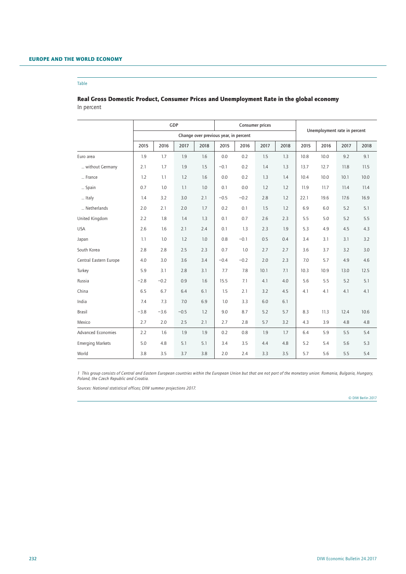#### Table

# Real Gross Domestic Product, Consumer Prices and Unemployment Rate in the global economy In percent

|                         | GDP                                   |         |        | <b>Consumer prices</b> |        |        |      | Unemployment rate in percent |      |      |      |      |  |
|-------------------------|---------------------------------------|---------|--------|------------------------|--------|--------|------|------------------------------|------|------|------|------|--|
|                         | Change over previous year, in percent |         |        |                        |        |        |      |                              |      |      |      |      |  |
|                         | 2015                                  | 2016    | 2017   | 2018                   | 2015   | 2016   | 2017 | 2018                         | 2015 | 2016 | 2017 | 2018 |  |
| Euro area               | 1.9                                   | 1.7     | 1.9    | 1.6                    | 0.0    | 0.2    | 1.5  | 1.3                          | 10.8 | 10.0 | 9.2  | 9.1  |  |
| without Germany         | 2.1                                   | 1.7     | 1.9    | 1.5                    | $-0.1$ | 0.2    | 1.4  | 1.3                          | 13.7 | 12.7 | 11.8 | 11.5 |  |
| France                  | 1.2                                   | 1.1     | 1.2    | 1.6                    | 0.0    | 0.2    | 1.3  | 1.4                          | 10.4 | 10.0 | 10.1 | 10.0 |  |
| Spain                   | 0.7                                   | 1.0     | 1.1    | 1.0                    | 0.1    | 0.0    | 1.2  | 1.2                          | 11.9 | 11.7 | 11.4 | 11.4 |  |
| Italy                   | 1.4                                   | 3.2     | 3.0    | 2.1                    | $-0.5$ | $-0.2$ | 2.8  | 1.2                          | 22.1 | 19.6 | 17.6 | 16.9 |  |
| Netherlands             | 2.0                                   | 2.1     | 2.0    | 1.7                    | 0.2    | 0.1    | 1.5  | 1.2                          | 6.9  | 6.0  | 5.2  | 5.1  |  |
| United Kingdom          | 2.2                                   | 1.8     | 1.4    | 1.3                    | 0.1    | 0.7    | 2.6  | 2.3                          | 5.5  | 5.0  | 5.2  | 5.5  |  |
| <b>USA</b>              | 2.6                                   | 1.6     | 2.1    | 2.4                    | 0.1    | 1.3    | 2.3  | 1.9                          | 5.3  | 4.9  | 4.5  | 4.3  |  |
| Japan                   | 1.1                                   | 1.0     | 1.2    | 1.0                    | 0.8    | $-0.1$ | 0.5  | 0.4                          | 3.4  | 3.1  | 3.1  | 3.2  |  |
| South Korea             | 2.8                                   | 2.8     | 2.5    | 2.3                    | 0.7    | 1.0    | 2.7  | 2.7                          | 3.6  | 3.7  | 3.2  | 3.0  |  |
| Central Eastern Europe  | 4.0                                   | 3.0     | 3.6    | 3.4                    | $-0.4$ | $-0.2$ | 2.0  | 2.3                          | 7.0  | 5.7  | 4.9  | 4.6  |  |
| Turkey                  | 5.9                                   | 3.1     | 2.8    | 3.1                    | 7.7    | 7.8    | 10.1 | 7.1                          | 10.3 | 10.9 | 13.0 | 12.5 |  |
| Russia                  | $-2.8$                                | $-0.2$  | 0.9    | 1.6                    | 15.5   | 7.1    | 4.1  | 4.0                          | 5.6  | 5.5  | 5.2  | 5.1  |  |
| China                   | 6.5                                   | 6.7     | 6.4    | 6.1                    | 1.5    | 2.1    | 3.2  | 4.5                          | 4.1  | 4.1  | 4.1  | 4.1  |  |
| India                   | 7.4                                   | 7.3     | 7.0    | 6.9                    | 1.0    | 3.3    | 6.0  | 6.1                          |      |      |      |      |  |
| <b>Brasil</b>           | $-3.8$                                | $-3.6$  | $-0.5$ | 1.2                    | 9.0    | 8.7    | 5.2  | 5.7                          | 8.3  | 11.3 | 12.4 | 10.6 |  |
| Mexico                  | 2.7                                   | 2.0     | 2.5    | 2.1                    | 2.7    | 2.8    | 5.7  | 3.2                          | 4.3  | 3.9  | 4.8  | 4.8  |  |
| Advanced Economies      | 2.2                                   | $1.6\,$ | 1.9    | 1.9                    | 0.2    | 0.8    | 1.9  | 1.7                          | 6.4  | 5.9  | 5.5  | 5.4  |  |
| <b>Emerging Markets</b> | 5.0                                   | 4.8     | 5.1    | 5.1                    | 3.4    | 3.5    | 4.4  | 4.8                          | 5.2  | 5.4  | 5.6  | 5.3  |  |
| World                   | 3.8                                   | 3.5     | 3.7    | 3.8                    | 2.0    | 2.4    | 3.3  | 3.5                          | 5.7  | 5.6  | 5.5  | 5.4  |  |

*1 This group consists of Central and Eastern European countries within the European Union but that are not part of the monetary union: Romania, Bulgaria, Hungary, Poland, the Czech Republic and Croatia.*

*Sources: National statistical offices; DIW summer projections 2017.*

© DIW Berlin 2017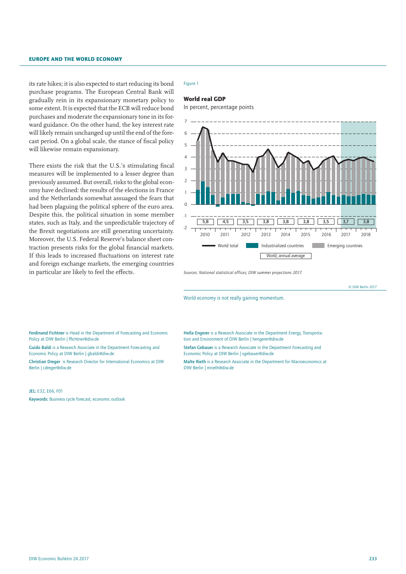its rate hikes; it is also expected to start reducing its bond purchase programs. The European Central Bank will gradually rein in its expansionary monetary policy to some extent. It is expected that the ECB will reduce bond purchases and moderate the expansionary tone in its forward guidance. On the other hand, the key interest rate will likely remain unchanged up until the end of the forecast period. On a global scale, the stance of fiscal policy will likewise remain expansionary.

There exists the risk that the U.S.'s stimulating fiscal measures will be implemented to a lesser degree than previously assumed. But overall, risks to the global economy have declined: the results of the elections in France and the Netherlands somewhat assuaged the fears that had been plaguing the political sphere of the euro area. Despite this, the political situation in some member states, such as Italy, and the unpredictable trajectory of the Brexit negotiations are still generating uncertainty. Moreover, the U.S. Federal Reserve's balance sheet contraction presents risks for the global financial markets. If this leads to increased fluctuations on interest rate and foreign exchange markets, the emerging countries in particular are likely to feel the effects.

#### Figure 1

#### World real GDP

In percent, percentage points



*Sources: National statistical offices; DIW summer projections 2017.*

© DIW Berlin 2017

World economy is not really gaining momentum.

Ferdinand Fichtner is Head in the Department of Forecasting and Economic Policy at DIW Berlin | ffichtner@diw.de

Guido Baldi is a Research Associate in the Department Forecasting and Economic Policy at DIW Berlin | gbaldi@diw.de

Christian Dreger is Research Director for International Economics at DIW Berlin | cdreger@diw.de

#### JEL: E32, E66, F01

Keywords: Business cycle forecast, economic outlook

Hella Engerer is a Research Associate in the Department Energy, Transportation and Environment of DIW Berlin | hengerer@diw.de

Stefan Gebauer is a Research Associate in the Department Forecasting and Economic Policy at DIW Berlin | sgebauer@diw.de

Malte Rieth is a Research Associate in the Department for Macroeconomics at DIW Berlin | mrieth@diw.de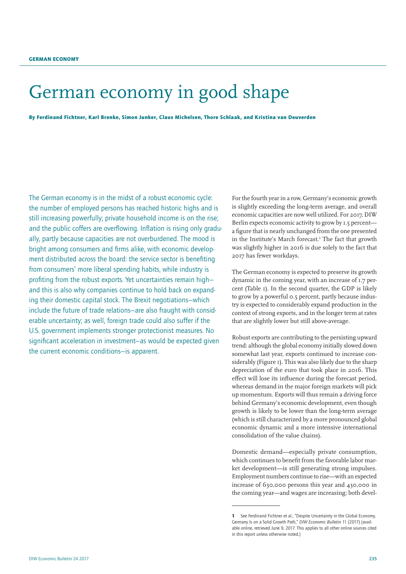# <span id="page-8-0"></span>German economy in good shape

By Ferdinand Fichtner, Karl Brenke, Simon Junker, Claus Michelsen, Thore Schlaak, and Kristina van Deuverden

The German economy is in the midst of a robust economic cycle: the number of employed persons has reached historic highs and is still increasing powerfully; private household income is on the rise; and the public coffers are overflowing. Inflation is rising only gradually, partly because capacities are not overburdened. The mood is bright among consumers and firms alike, with economic development distributed across the board: the service sector is benefiting from consumers' more liberal spending habits, while industry is profiting from the robust exports. Yet uncertainties remain high and this is also why companies continue to hold back on expanding their domestic capital stock. The Brexit negotiations—which include the future of trade relations—are also fraught with considerable uncertainty; as well, foreign trade could also suffer if the U.S. government implements stronger protectionist measures. No significant acceleration in investment—as would be expected given the current economic conditions—is apparent.

For the fourth year in a row, Germany's economic growth is slightly exceeding the long-term average, and overall economic capacities are now well utilized. For 2017, DIW Berlin expects economic activity to grow by 1.5 percent a figure that is nearly unchanged from the one presented in the Institute's March forecast.<sup>1</sup> The fact that growth was slightly higher in 2016 is due solely to the fact that 2017 has fewer workdays.

The German economy is expected to preserve its growth dynamic in the coming year, with an increase of 1.7 percent (Table 1). In the second quarter, the GDP is likely to grow by a powerful 0.5 percent, partly because industry is expected to considerably expand production in the context of strong exports, and in the longer term at rates that are slightly lower but still above-average.

Robust exports are contributing to the persisting upward trend: although the global economy initially slowed down somewhat last year, exports continued to increase considerably (Figure 1). This was also likely due to the sharp depreciation of the euro that took place in 2016. This effect will lose its influence during the forecast period, whereas demand in the major foreign markets will pick up momentum. Exports will thus remain a driving force behind Germany's economic development, even though growth is likely to be lower than the long-term average (which is still characterized by a more pronounced global economic dynamic and a more intensive international consolidation of the value chains).

Domestic demand—especially private consumption, which continues to benefit from the favorable labor market development—is still generating strong impulses. Employment numbers continue to rise—with an expected increase of 630,000 persons this year and 430,000 in the coming year—and wages are increasing; both devel-

<sup>1</sup> See Ferdinand Fichtner et al., "Despite Uncertainty in the Global Economy, Germany Is on a Solid Growth Path," *DIW Economic Bulletin* 11 (2017) ([avail](http://www.diw.de/documents/publikationen/73/diw_01.c.554496.de/17-11.pdf)[able online](http://www.diw.de/documents/publikationen/73/diw_01.c.554496.de/17-11.pdf), retrieved June 9, 2017. This applies to all other online sources cited in this report unless otherwise noted.)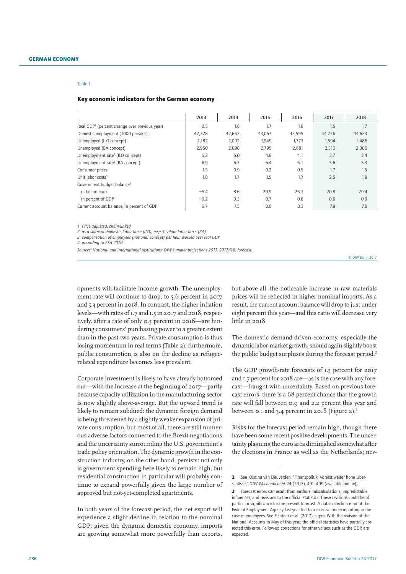#### Table 1

#### Key economic indicators for the German economy

|                                                           | 2013   | 2014   | 2015   | 2016   | 2017   | 2018   |
|-----------------------------------------------------------|--------|--------|--------|--------|--------|--------|
| Real GDP <sup>1</sup> (percent change over previous year) | 0.5    | 1.6    | 1.7    | 1.9    | 1.5    | 1.7    |
| Domestic employment (1000 persons)                        | 42,328 | 42,662 | 43,057 | 43,595 | 44,226 | 44,653 |
| Unemployed (ILO concept)                                  | 2.182  | 2.092  | 1.949  | 1.773  | 1,594  | 1.486  |
| Unemployed (BA concept)                                   | 2,950  | 2,898  | 2,795  | 2,691  | 2,510  | 2,385  |
| Unemployment rate <sup>2</sup> (ILO concept)              | 5.2    | 5.0    | 4.6    | 4.1    | 3.7    | 3.4    |
| Unemployment rate <sup>2</sup> (BA concept)               | 6.9    | 6.7    | 6.4    | 6.1    | 5.6    | 5.3    |
| Consumer prices                                           | 1.5    | 0.9    | 0.2    | 0.5    | 1.7    | 1.5    |
| Unit labor $costs3$                                       | 1.8    | 1.7    | 1.5    | 1.7    | 2.5    | 1.9    |
| Government budget balance <sup>4</sup>                    |        |        |        |        |        |        |
| in billion euro                                           | $-5.4$ | 8.6    | 20.9   | 26.3   | 20.8   | 29.4   |
| in percent of GDP                                         | $-0.2$ | 0.3    | 0.7    | 0.8    | 0.6    | 0.9    |
| Current account balance, in percent of GDP                | 6.7    | 7.5    | 8.6    | 8.3    | 7.9    | 7.8    |

*1 Price-adjusted, chain-linked.*

*2 as a share of domestic labor force (ILO), resp. Civilian labor force (BA).*

*3 compensation of employees (national concept) per hour worked over real GDP.*

*4 according to ESA 2010.*

*Sources: National and international institutions; DIW summer projections 2017. 2017/18: forecast.*

© DIW Berlin 2017

opments will facilitate income growth. The unemployment rate will continue to drop, to 5.6 percent in 2017 and 5.3 percent in 2018. In contrast, the higher inflation levels—with rates of 1.7 and 1.5 in 2017 and 2018, respectively, after a rate of only 0.5 percent in 2016—are hindering consumers' purchasing power to a greater extent than in the past two years. Private consumption is thus losing momentum in real terms (Table 2); furthermore, public consumption is also on the decline as refugeerelated expenditure becomes less prevalent.

Corporate investment is likely to have already bottomed out—with the increase at the beginning of 2017—partly because capacity utilization in the manufacturing sector is now slightly above-average. But the upward trend is likely to remain subdued: the dynamic foreign demand is being threatened by a slightly weaker expansion of private consumption, but most of all, there are still numerous adverse factors connected to the Brexit negotiations and the uncertainty surrounding the U.S. government's trade policy orientation. The dynamic growth in the construction industry, on the other hand, persists: not only is government spending here likely to remain high, but residential construction in particular will probably continue to expand powerfully given the large number of approved but not-yet-completed apartments.

In both years of the forecast period, the net export will experience a slight decline in relation to the nominal GDP: given the dynamic domestic economy, imports are growing somewhat more powerfully than exports,

but above all, the noticeable increase in raw materials prices will be reflected in higher nominal imports. As a result, the current account balance will drop to just under eight percent this year—and this ratio will decrease very little in 2018.

The domestic demand-driven economy, especially the dynamic labor-market growth, should again slightly boost the public budget surpluses during the forecast period.<sup>2</sup>

The GDP growth-rate forecasts of 1.5 percent for 2017 and 1.7 percent for 2018 are—as is the case with any forecast—fraught with uncertainty. Based on previous forecast errors, there is a 68 percent chance that the growth rate will fall between 0.9 and 2.2 percent this year and between 0.1 and 3.4 percent in 2018 (Figure 2). $3$ 

Risks for the forecast period remain high, though there have been some recent positive developments. The uncertainty plaguing the euro area diminished somewhat after the elections in France as well as the Netherlands; nev-

<sup>2</sup> See Kristina van Deuverden, "Finanzpolitik: Vorerst weiter hohe Überschüsse," *DIW Wochenbericht* 24 (2017), 491–499 [\(available online\)](http://www.diw.de/documents/publikationen/73/diw_01.c.559983.de/17-24-5.pdf)*.*

<sup>3</sup> Forecast errors can result from authors' miscalculations, unpredictable influences, and revisions to the official statistics. These revisions could be of particular significance for the present forecast. A data-collection error at the Federal Employment Agency last year led to a massive under-reporting in the case of employees. See Fichtner et al. (2017), supra. With the revision of the National Accounts in May of this year, the official statistics have partially corrected this error. Follow-up corrections for other values, such as the GDP, are expected.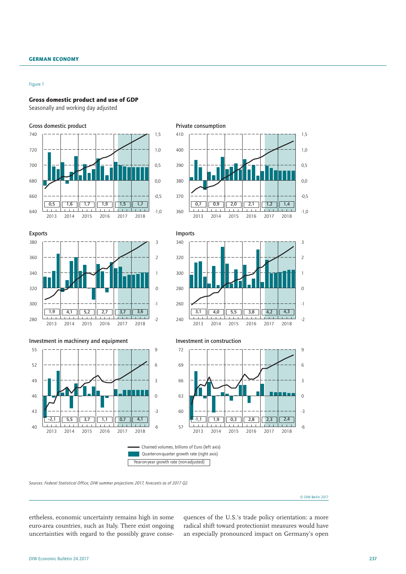#### Figure 1

#### Gross domestic product and use of GDP

Seasonally and working day adjusted



*Sources: Federal Statistical Office; DIW summer projections 2017, forecasts as of 2017 Q2.*

© DIW Berlin 2017

ertheless, economic uncertainty remains high in some euro-area countries, such as Italy. There exist ongoing uncertainties with regard to the possibly grave consequences of the U.S.'s trade policy orientation: a more radical shift toward protectionist measures would have an especially pronounced impact on Germany's open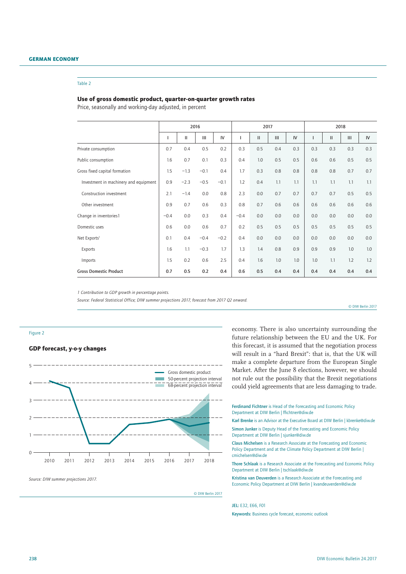#### German economy

#### Table 2

#### Use of gross domestic product, quarter-on-quarter growth rates

Price, seasonally and working-day adjusted, in percent

|                                       | 2016   |        |        |        | 2017   |               |     |     | 2018 |              |     |     |
|---------------------------------------|--------|--------|--------|--------|--------|---------------|-----|-----|------|--------------|-----|-----|
|                                       | 1      | Ш      | Ш      | IV     |        | $\mathbf{II}$ | III | IV  | ı    | $\mathbf{H}$ | III | IV  |
| Private consumption                   | 0.7    | 0.4    | 0.5    | 0.2    | 0.3    | 0.5           | 0.4 | 0.3 | 0.3  | 0.3          | 0.3 | 0.3 |
| Public consumption                    | 1.6    | 0.7    | 0.1    | 0.3    | 0.4    | 1.0           | 0.5 | 0.5 | 0.6  | 0.6          | 0.5 | 0.5 |
| Gross fixed capital formation         | 1.5    | $-1.3$ | $-0.1$ | 0.4    | 1.7    | 0.3           | 0.8 | 0.8 | 0.8  | 0.8          | 0.7 | 0.7 |
| Investment in machinery and equipment | 0.9    | $-2.3$ | $-0.5$ | $-0.1$ | 1.2    | 0.4           | 1.1 | 1.1 | 1.1  | 1.1          | 1.1 | 1.1 |
| Construction investment               | 2.1    | $-1.4$ | 0.0    | 0.8    | 2.3    | 0.0           | 0.7 | 0.7 | 0.7  | 0.7          | 0.5 | 0.5 |
| Other investment                      | 0.9    | 0.7    | 0.6    | 0.3    | 0.8    | 0.7           | 0.6 | 0.6 | 0.6  | 0.6          | 0.6 | 0.6 |
| Change in inventories1                | $-0.4$ | 0.0    | 0.3    | 0.4    | $-0.4$ | 0.0           | 0.0 | 0.0 | 0.0  | 0.0          | 0.0 | 0.0 |
| Domestic uses                         | 0.6    | 0.0    | 0.6    | 0.7    | 0.2    | 0.5           | 0.5 | 0.5 | 0.5  | 0.5          | 0.5 | 0.5 |
| Net Exports <sup>1</sup>              | 0.1    | 0.4    | $-0.4$ | $-0.2$ | 0.4    | 0.0           | 0.0 | 0.0 | 0.0  | 0.0          | 0.0 | 0.0 |
| Exports                               | 1.6    | 1.1    | $-0.3$ | 1.7    | 1.3    | 1.4           | 0.8 | 0.9 | 0.9  | 0.9          | 1.0 | 1.0 |
| Imports                               | 1.5    | 0.2    | 0.6    | 2.5    | 0.4    | 1.6           | 1.0 | 1.0 | 1.0  | 1.1          | 1.2 | 1.2 |
| <b>Gross Domestic Product</b>         | 0.7    | 0.5    | 0.2    | 0.4    | 0.6    | 0.5           | 0.4 | 0.4 | 0.4  | 0.4          | 0.4 | 0.4 |

*1 Contribution to GDP growth in percentage points.*

*Source: Federal Statistical Office; DIW summer projections 2017, forecast from 2017 Q2 onward.*

© DIW Berlin 2017

### Figure 2

#### GDP forecast, y-o-y changes



*Source: DIW summer projections 2017.*

economy. There is also uncertainty surrounding the future relationship between the EU and the UK. For this forecast, it is assumed that the negotiation process will result in a "hard Brexit": that is, that the UK will make a complete departure from the European Single Market. After the June 8 elections, however, we should not rule out the possibility that the Brexit negotiations could yield agreements that are less damaging to trade.

Ferdinand Fichtner is Head of the Forecasting and Economic Policy Department at DIW Berlin | ffichtner@diw.de

Karl Brenke is an Advisor at the Executive Board at DIW Berlin | kbrenke@diw.de Simon Junker is Deputy Head of the Forecasting and Economic Policy

Department at DIW Berlin | sjunker@diw.de Claus Michelsen is a Research Associate at the Forecasting and Economic Policy Department and at the Climate Policy Department at DIW Berlin | cmichelsen@diw.de

Thore Schlaak is a Research Associate at the Forecasting and Economic Policy Department at DIW Berlin | tschlaak@diw.de

Kristina van Deuverden is a Research Associate at the Forecasting and Economic Policy Department at DIW Berlin | kvandeuverden@diw.de

JEL: E32, E66, F01

© DIW Berlin 2017

Keywords: Business cycle forecast, economic outlook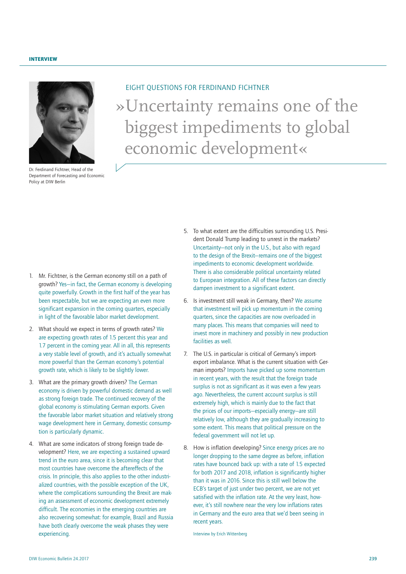<span id="page-12-0"></span>

Dr. Ferdinand Fichtner, Head of the Department of Forecasting and Economic Policy at DIW Berlin

# »Uncertainty remains one of the biggest impediments to global economic development« EIGHT QUESTIONS FOR FERDINAND FICHTNER

- 1. Mr. Fichtner, is the German economy still on a path of growth? Yes—in fact, the German economy is developing quite powerfully. Growth in the first half of the year has been respectable, but we are expecting an even more significant expansion in the coming quarters, especially in light of the favorable labor market development.
- 2. What should we expect in terms of growth rates? We are expecting growth rates of 1.5 percent this year and 1.7 percent in the coming year. All in all, this represents a very stable level of growth, and it's actually somewhat more powerful than the German economy's potential growth rate, which is likely to be slightly lower.
- 3. What are the primary growth drivers? The German economy is driven by powerful domestic demand as well as strong foreign trade. The continued recovery of the global economy is stimulating German exports. Given the favorable labor market situation and relatively strong wage development here in Germany, domestic consumption is particularly dynamic.
- 4. What are some indicators of strong foreign trade development? Here, we are expecting a sustained upward trend in the euro area, since it is becoming clear that most countries have overcome the aftereffects of the crisis. In principle, this also applies to the other industrialized countries, with the possible exception of the UK, where the complications surrounding the Brexit are making an assessment of economic development extremely difficult. The economies in the emerging countries are also recovering somewhat: for example, Brazil and Russia have both clearly overcome the weak phases they were experiencing.
- 5. To what extent are the difficulties surrounding U.S. President Donald Trump leading to unrest in the markets? Uncertainty—not only in the U.S., but also with regard to the design of the Brexit—remains one of the biggest impediments to economic development worldwide. There is also considerable political uncertainty related to European integration. All of these factors can directly dampen investment to a significant extent.
- 6. Is investment still weak in Germany, then? We assume that investment will pick up momentum in the coming quarters, since the capacities are now overloaded in many places. This means that companies will need to invest more in machinery and possibly in new production facilities as well.
- 7. The U.S. in particular is critical of Germany's importexport imbalance. What is the current situation with German imports? Imports have picked up some momentum in recent years, with the result that the foreign trade surplus is not as significant as it was even a few years ago. Nevertheless, the current account surplus is still extremely high, which is mainly due to the fact that the prices of our imports—especially energy—are still relatively low, although they are gradually increasing to some extent. This means that political pressure on the federal government will not let up.
- 8. How is inflation developing? Since energy prices are no longer dropping to the same degree as before, inflation rates have bounced back up: with a rate of 1.5 expected for both 2017 and 2018, inflation is significantly higher than it was in 2016. Since this is still well below the ECB's target of just under two percent, we are not yet satisfied with the inflation rate. At the very least, however, it's still nowhere near the very low inflations rates in Germany and the euro area that we'd been seeing in recent years.

Interview by Erich Wittenberg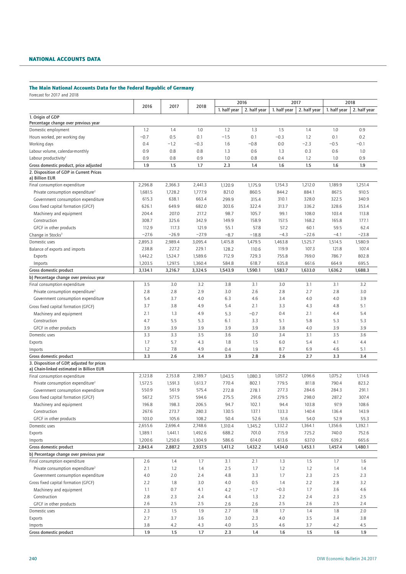### NATIONAL ACCOUNTS DATA

# The Main National Accounts Data for the Federal Republic of Germany

Forecast for 2017 and 2018

|                                                                                        |         |         |         |                  | 2016         | 2017         |              |              | 2018         |  |
|----------------------------------------------------------------------------------------|---------|---------|---------|------------------|--------------|--------------|--------------|--------------|--------------|--|
|                                                                                        | 2016    | 2017    | 2018    | 1. half year     | 2. half year | 1. half year | 2. half year | 1. half year | 2. half year |  |
| 1. Origin of GDP<br>Percentage change over previous year                               |         |         |         |                  |              |              |              |              |              |  |
| Domestic employment                                                                    | 1.2     | 1.4     | 1.0     | 1.2              | 1.3          | 1.5          | 1.4          | 1.0          | 0.9          |  |
| Hours worked, per working day                                                          | $-0.7$  | 0.5     | 0.1     | $-1.5$           | 0.1          | $-0.3$       | 1.2          | 0.1          | 0.2          |  |
| Working days                                                                           | 0.4     | $-1.2$  | $-0.3$  | 1.6              | $-0.8$       | 0.0          | $-2.3$       | $-0.5$       | $-0.1$       |  |
| Labour volume, calendar-monthly                                                        | 0.9     | 0.8     | 0.8     | 1.3              | 0.6          | 1.3          | 0.3          | 0.6          | 1.0          |  |
| Labour productivity <sup>1</sup>                                                       | 0.9     | 0.8     | 0.9     | 1.0              | 0.8          | 0.4          | 1.2          | 1.0          | 0.9          |  |
| Gross domestic product, price adjusted                                                 | 1.9     | 1.5     | 1.7     | 2.3              | 1.4          | 1.6          | 1.5          | 1.6          | 1.9          |  |
| 2. Disposition of GDP in Current Prices<br>a) Billion EUR                              |         |         |         |                  |              |              |              |              |              |  |
| Final consumption expenditure                                                          | 2,296.8 | 2,366.3 | 2,441.3 | 1,120.9          | 1,175.9      | 1,154.3      | 1,212.0      | 1,189.9      | 1,251.4      |  |
| Private consumption expenditure <sup>2</sup>                                           | 1,681.5 | 1,728.2 | 1,777.9 | 821.0            | 860.5        | 844.2        | 884.1        | 867.5        | 910.5        |  |
| Government consumption expenditure                                                     | 615.3   | 638.1   | 663.4   | 299.9            | 315.4        | 310.1        | 328.0        | 322.5        | 340.9        |  |
| Gross fixed capital formation (GFCF)                                                   | 626.1   | 649.9   | 682.0   | 303.6            | 322.4        | 313.7        | 336.2        | 328.6        | 353.4        |  |
| Machinery and equipment                                                                | 204.4   | 207.0   | 217.2   | 98.7             | 105.7        | 99.1         | 108.0        | 103.4        | 113.8        |  |
| Construction                                                                           | 308.7   | 325.6   | 342.9   | 149.9            | 158.9        | 157.5        | 168.2        | 165.8        | 177.1        |  |
| GFCF in other products                                                                 | 112.9   | 117.3   | 121.9   | 55.1             | 57.8         | 57.2         | 60.1         | 59.5         | 62.4         |  |
| Change in Stocks <sup>3</sup>                                                          | $-27.6$ | $-26.9$ | $-27.9$ | $-8.7$           | $-18.8$      | $-4.3$       | $-22.6$      | $-4.1$       | $-23.8$      |  |
| Domestic uses                                                                          | 2,895.3 | 2,989.4 | 3,095.4 | 1,415.8          | 1,479.5      | 1,463.8      | 1,525.7      | 1,514.5      | 1,580.9      |  |
| Balance of exports and imports                                                         | 238.8   | 227.2   | 229.1   | 128.2            | 110.6        | 119.9        | 107.3        | 121.8        | 107.4        |  |
|                                                                                        | 1,442.2 | 1,524.7 | 1,589.6 | 712.9            | 729.3        | 755.8        | 769.0        | 786.7        | 802.8        |  |
| Exports                                                                                | 1,203.5 | 1,297.5 | 1,360.4 |                  |              | 635.8        | 661.6        | 664.9        | 695.5        |  |
| Imports                                                                                |         |         |         | 584.8<br>1,543.9 | 618.7        |              |              |              |              |  |
| Gross domestic product                                                                 | 3,134.1 | 3,216.7 | 3,324.5 |                  | 1,590.1      | 1,583.7      | 1,633.0      | 1,636.2      | 1,688.3      |  |
| b) Percentage change over previous year                                                | 3.5     | 3.0     |         |                  |              |              |              |              | 3.2          |  |
| Final consumption expenditure                                                          |         |         | 3.2     | 3.8              | 3.1          | 3.0          | 3.1          | 3.1          |              |  |
| Private consumption expenditure <sup>2</sup>                                           | 2.8     | 2.8     | 2.9     | 3.0              | 2.6          | 2.8          | 2.7          | 2.8          | 3.0          |  |
| Government consumption expenditure                                                     | 5.4     | 3.7     | 4.0     | 6.3              | 4.6          | 3.4          | 4.0          | 4.0          | 3.9          |  |
| Gross fixed capital formation (GFCF)                                                   | 3.7     | 3.8     | 4.9     | 5.4              | 2.1          | 3.3          | 4.3          | 4.8          | 5.1          |  |
| Machinery and equipment                                                                | 2.1     | 1.3     | 4.9     | 5.3              | $-0.7$       | 0.4          | 2.1          | 4.4          | 5.4          |  |
| Construction                                                                           | 4.7     | 5.5     | 5.3     | 6.1              | 3.3          | 5.1          | 5.8          | 5.3          | 5.3          |  |
| GFCF in other products                                                                 | 3.9     | 3.9     | 3.9     | 3.9              | 3.9          | 3.8          | 4.0          | 3.9          | 3.9          |  |
| Domestic uses                                                                          | 3.3     | 3.3     | 3.5     | 3.6              | 3.0          | 3.4          | 3.1          | 3.5          | 3.6          |  |
| Exports                                                                                | 1.7     | 5.7     | 4.3     | 1.8              | 1.5          | 6.0          | 5.4          | 4.1          | 4.4          |  |
| Imports                                                                                | 1.2     | 7.8     | 4.9     | 0.4              | 1.9          | 8.7          | 6.9          | 4.6          | 5.1          |  |
| Gross domestic product                                                                 | 3.3     | 2.6     | 3.4     | 3.9              | 2.8          | 2.6          | 2.7          | 3.3          | 3.4          |  |
| 3. Disposition of GDP, adjusted for prices<br>a) Chain-linked estimated in Billion EUR |         |         |         |                  |              |              |              |              |              |  |
| Final consumption expenditure                                                          | 2,123.8 | 2,153.8 | 2,189.7 | 1,043.5          | 1,080.3      | 1,057.2      | 1,096.6      | 1,075.2      | 1,114.6      |  |
| Private consumption expenditure <sup>2</sup>                                           | 1,572.5 | 1,591.3 | 1,613.7 | 770.4            | 802.1        | 779.5        | 811.8        | 790.4        | 823.2        |  |
| Government consumption expenditure                                                     | 550.9   | 561.9   | 575.4   | 272.8            | 278.1        | 277.3        | 284.6        | 284.3        | 291.1        |  |
| Gross fixed capital formation (GFCF)                                                   | 567.2   | 577.5   | 594.6   | 275.5            | 291.6        | 279.5        | 298.0        | 287.2        | 307.4        |  |
| Machinery and equipment                                                                | 196.8   | 198.3   | 206.5   | 94.7             | 102.1        | 94.4         | 103.8        | 97.9         | 108.6        |  |
| Construction                                                                           | 267.6   | 273.7   | 280.3   | 130.5            | 137.1        | 133.3        | 140.4        | 136.4        | 143.9        |  |
| GFCF in other products                                                                 | 103.0   | 105.6   | 108.2   | 50.4             | 52.6         | 51.6         | 54.0         | 52.9         | 55.3         |  |
| Domestic uses                                                                          | 2,655.6 | 2,696.4 | 2,748.6 | 1,310.4          | 1,345.2      | 1,332.2      | 1,364.1      | 1,356.6      | 1,392.1      |  |
| Exports                                                                                | 1,389.1 | 1,441.1 | 1,492.6 | 688.2            | 701.0        | 715.9        | 725.2        | 740.0        | 752.6        |  |
| Imports                                                                                | 1,200.6 | 1,250.6 | 1,304.9 | 586.6            | 614.0        | 613.6        | 637.0        | 639.2        | 665.6        |  |
| Gross domestic product                                                                 | 2,843.4 | 2,887.2 | 2,937.5 | 1,411.2          | 1,432.2      | 1,434.0      | 1,453.1      | 1,457.4      | 1,480.1      |  |
| b) Percentage change over previous year                                                |         |         |         |                  |              |              |              |              |              |  |
| Final consumption expenditure                                                          | 2.6     | 1.4     | 1.7     | 3.1              | 2.1          | 1.3          | 1.5          | 1.7          | 1.6          |  |
| Private consumption expenditure <sup>2</sup>                                           | 2.1     | 1.2     | 1.4     | 2.5              | 1.7          | 1.2          | 1.2          | 1.4          | 1.4          |  |
| Government consumption expenditure                                                     | 4.0     | 2.0     | 2.4     | 4.8              | 3.3          | 1.7          | 2.3          | 2.5          | 2.3          |  |
| Gross fixed capital formation (GFCF)                                                   | 2.2     | 1.8     | 3.0     | 4.0              | 0.5          | 1.4          | 2.2          | $2.8\,$      | 3.2          |  |
| Machinery and equipment                                                                | 1.1     | 0.7     | 4.1     | 4.2              | $-1.7$       | $-0.3$       | 1.7          | 3.6          | 4.6          |  |
| Construction                                                                           | 2.8     | 2.3     | 2.4     | 4.4              | 1.3          | 2.2          | 2.4          | 2.3          | 2.5          |  |
| GFCF in other products                                                                 | 2.6     | 2.5     | 2.5     | 2.6              | 2.6          | 2.5          | 2.6          | 2.5          | 2.4          |  |
| Domestic uses                                                                          | 2.3     | 1.5     | 1.9     | 2.7              | 1.8          | 1.7          | 1.4          | 1.8          | 2.0          |  |
| Exports                                                                                | 2.7     | 3.7     | 3.6     | 3.0              | 2.3          | 4.0          | 3.5          | 3.4          | 3.8          |  |
| Imports                                                                                | 3.8     | 4.2     | 4.3     | 4.0              | 3.5          | 4.6          | 3.7          | 4.2          | 4.5          |  |
| Gross domestic product                                                                 | 1.9     | 1.5     | 1.7     | 2.3              | 1.4          | 1.6          | 1.5          | 1.6          | 1.9          |  |
|                                                                                        |         |         |         |                  |              |              |              |              |              |  |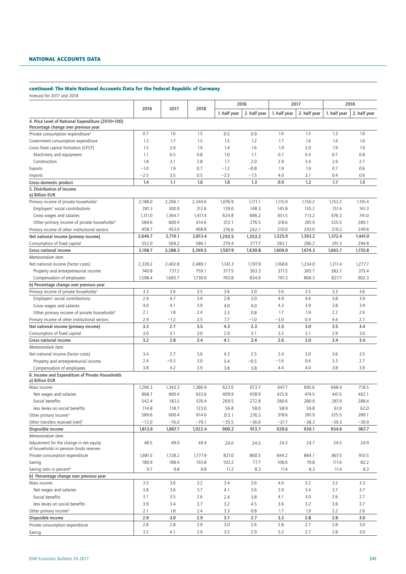### NATIONAL ACCOUNTS DATA

# continued: The Main National Accounts Data for the Federal Republic of Germany

Forecast for 2017 and 2018

|                                                                                                |         |         |         | 2016         |              | 2017         |              | 2018         |              |
|------------------------------------------------------------------------------------------------|---------|---------|---------|--------------|--------------|--------------|--------------|--------------|--------------|
|                                                                                                | 2016    | 2017    | 2018    | 1. half year | 2. half year | 1. half year | 2. half year | 1. half year | 2. half year |
| 4. Price Level of National Expenditure (2010=100)<br>Percentage change over previous year      |         |         |         |              |              |              |              |              |              |
| Private consumption expenditure <sup>2</sup>                                                   | 0.7     | 1.6     | 1.5     | 0.5          | 0.9          | 1.6          | 1.5          | 1.3          | 1.6          |
| Government consumption expenditure                                                             | 1.3     | 1.7     | 1.5     | 1.5          | 1.2          | 1.7          | 1.6          | 1.4          | 1.6          |
| Gross fixed capital formation (GFCF)                                                           | 1.5     | 2.0     | 1.9     | 1.4          | 1.6          | 1.9          | 2.0          | 1.9          | 1.9          |
| Machinery and equipment                                                                        | 1.1     | 0.5     | 0.8     | 1.0          | 1.1          | 0.7          | 0.4          | 0.7          | 0.8          |
| Construction                                                                                   | 1.8     | 3.1     | 2.8     | 1.7          | 2.0          | 2.9          | 3.4          | 2.9          | 2.7          |
| Exports                                                                                        | $-1.0$  | 1.9     | 0.7     | $-1.2$       | $-0.8$       | 1.9          | 1.9          | 0.7          | 0.6          |
|                                                                                                | $-2.5$  | 3.5     | 0.5     | $-3.5$       | $-1.5$       | 4.0          | 3.1          | 0.4          | 0.6          |
| Imports<br>Gross domestic product                                                              | 1.4     | 1.1     | 1.6     | 1.6          | 1.3          | 0.9          | 1.2          | 1.7          | 1.5          |
| 5. Distribution of Income<br>a) Billion EUR                                                    |         |         |         |              |              |              |              |              |              |
| Primary income of private households <sup>2</sup>                                              | 2,188.0 | 2,266.1 | 2,344.6 | 1,076.9      | 1,111.1      | 1,115.9      | 1,150.2      | 1,153.2      | 1,191.4      |
| Employers' social contributions                                                                | 287.3   | 300.9   | 312.6   | 139.0        | 148.3        | 145.8        | 155.2        | 151.4        | 161.3        |
| Gross wages and salaries                                                                       | 1,311.0 | 1,364.7 | 1,417.4 | 624.8        | 686.2        | 651.5        | 713.2        | 676.3        | 741.0        |
| Other primary income of private households <sup>4</sup>                                        | 589.6   | 600.4   | 614.6   | 313.1        | 276.5        | 318.6        | 281.9        | 325.5        | 289.1        |
| Primary income of other institutional sectors                                                  | 458.7   | 453.0   | 468.8   | 216.6        | 242.1        | 210.0        | 243.0        | 219.2        | 249.6        |
| Net national income (primary income)                                                           | 2,646.7 | 2,719.1 | 2,813.4 | 1,293.5      | 1,353.2      | 1,325.9      | 1,393.2      | 1,372.4      | 1,441.0      |
| Consumption of fixed capital                                                                   | 552.0   | 569.2   | 586.1   | 274.4        | 277.7        | 283.1        | 286.2        | 291.3        | 294.8        |
| Gross national income                                                                          | 3,198.7 | 3,288.3 | 3,399.5 | 1,567.9      | 1,630.8      | 1,609.0      | 1,679.3      | 1,663.7      | 1,735.8      |
| Memorandum item:                                                                               |         |         |         |              |              |              |              |              |              |
| Net national income (factor costs)                                                             | 2,339.2 | 2,402.8 | 2,489.1 | 1,141.3      | 1,197.9      | 1,168.8      | 1,234.0      | 1,211.4      | 1,277.7      |
| Property and entrepreneurial income                                                            | 740.8   | 737.2   | 759.1   | 377.5        | 363.3        | 371.5        | 365.7        | 383.7        | 375.4        |
| Compensation of employees                                                                      | 1,598.4 | 1,665.7 | 1,730.0 | 763.8        | 834.6        | 797.3        | 868.3        | 827.7        | 902.3        |
| b) Percentage change over previous year                                                        |         |         |         |              |              |              |              |              |              |
| Primary income of private households <sup>2</sup>                                              | 3.3     | 3.6     | 3.5     | 3.6          | 3.0          | 3.6          | 3.5          | 3.3          | 3.6          |
| Employers' social contributions                                                                | 2.9     | 4.7     | 3.9     | 2.8          | 3.0          | 4.9          | 4.6          | 3.8          | 3.9          |
|                                                                                                |         |         |         |              |              |              |              |              | 3.9          |
| Gross wages and salaries                                                                       | 4.0     | 4.1     | 3.9     | 4.0          | 4.0          | 4.3          | 3.9          | 3.8          |              |
| Other primary income of private households <sup>4</sup>                                        | 2.1     | 1.8     | 2.4     | 3.3          | 0.8          | 1.7          | 1.9          | 2.2          | 2.6          |
| Primary income of other institutional sectors                                                  | 2.9     | $-1.2$  | 3.5     | 7.7          | $-1.0$       | $-3.0$       | 0.4          | 4.4          | 2.7          |
| Net national income (primary income)                                                           | 3.3     | 2.7     | 3.5     | 4.3          | 2.3          | 2.5          | 3.0          | 3.5          | 3.4          |
| Consumption of fixed capital                                                                   | 3.0     | 3.1     | 3.0     | 2.9          | 3.1          | 3.2          | 3.1          | 2.9          | 3.0          |
| Gross national income                                                                          | 3.2     | 2.8     | 3.4     | 4.1          | 2.4          | 2.6          | 3.0          | 3.4          | 3.4          |
| Memorandum item:                                                                               |         |         |         |              |              |              |              |              |              |
| Net national income (factor costs)                                                             | 3.4     | 2.7     | 3.6     | 4.3          | 2.5          | 2.4          | 3.0          | 3.6          | 3.5          |
| Property and entrepreneurial income                                                            | 2.4     | $-0.5$  | 3.0     | 5.4          | $-0.5$       | $-1.6$       | 0.6          | 3.3          | 2.7          |
| Compensation of employees<br>6. Income and Expenditure of Private Households<br>a) Billion EUR | 3.8     | 4.2     | 3.9     | 3.8          | 3.8          | 4.4          | 4.0          | 3.8          | 3.9          |
| Mass income                                                                                    | 1,296.3 | 1,343.3 | 1,386.9 | 622.6        | 673.7        | 647.7        | 695.6        | 668.4        | 718.5        |
| Net wages and salaries                                                                         | 868.7   | 900.4   | 933.6   | 409.9        | 458.9        | 425.9        | 474.5        | 441.5        | 492.1        |
| Social benefits                                                                                | 542.4   | 561.5   | 576.4   | 269.5        | 272.8        | 280.6        | 280.9        | 287.9        | 288.4        |
| less levies on social benefits                                                                 | 114.8   | 118.7   | 123.0   | 56.8         | 58.0         | 58.9         | 59.8         | 61.0         | 62.0         |
| Other primary income <sup>4</sup>                                                              | 589.6   | 600.4   | 614.6   | 313.1        | 276.5        | 318.6        | 281.9        | 325.5        | 289.1        |
| Other transfers received (net) <sup>5</sup>                                                    | $-72.0$ | $-76.0$ | $-79.1$ | $-35.5$      | $-36.6$      | $-37.7$      | $-38.3$      | $-39.3$      | $-39.9$      |
| Disposible income                                                                              | 1,813.9 | 1,867.7 | 1,922.4 | 900.2        | 913.7        | 928.6        | 939.1        | 954.6        | 967.7        |
| Memorandum item:                                                                               |         |         |         |              |              |              |              |              |              |
| Adjustment for the change in net equity                                                        | 48.5    | 49.0    | 49.4    | 24.0         | 24.5         | 24.2         | 24.7         | 24.5         | 24.9         |
| of households in pension funds reserves                                                        |         |         |         |              |              |              |              |              |              |
| Private consumption expenditure                                                                | 1,681.5 | 1,728.2 | 1,777.9 | 821.0        | 860.5        | 844.2        | 884.1        | 867.5        | 910.5        |
| Saving                                                                                         | 180.9   | 188.4   | 193.8   | 103.2        | 77.7         | 108.6        | 79.8         | 111.6        | 82.2         |
| Saving ratio in percent <sup>6</sup>                                                           | 9.7     | 9.8     | 9.8     | 11.2         | 8.3          | 11.4         | 8.3          | 11.4         | 8.3          |
| b) Percentage change over previous year                                                        |         |         |         |              |              |              |              |              |              |
| Mass income                                                                                    | 3.5     | 3.6     | 3.2     | 3.4          | 3.6          | 4.0          | 3.2          | 3.2          | 3.3          |
| Net wages and salaries                                                                         | 3.8     | 3.6     | 3.7     | 4.1          | 3.6          | 3.9          | 3.4          | 3.7          | 3.7          |
| Social benefits                                                                                | 3.1     | 3.5     | 2.6     | 2.4          | 3.8          | 4.1          | 3.0          | 2.6          | 2.7          |
| less levies on social benefits                                                                 | 3.9     | 3.4     | 3.7     | 3.2          | 4.5          | 3.6          | 3.2          | 3.6          | 3.7          |
| Other primary income <sup>4</sup>                                                              | 2.1     | 1.8     | 2.4     | 3.3          | 0.8          | 1.7          | 1.9          | 2.2          | 2.6          |
| Disposible income                                                                              | 2.9     | 3.0     | 2.9     | 3.1          | 2.7          | 3.2          | 2.8          | 2.8          | 3.0          |
| Private consumption expenditure                                                                | 2.8     | 2.8     | 2.9     | 3.0          | 2.6          | 2.8          | 2.7          | 2.8          | 3.0          |
|                                                                                                | 3.2     | 4.1     | 2.9     | 3.5          | 2.9          | 5.2          | 2.7          | 2.8          | 3.0          |
| Saving                                                                                         |         |         |         |              |              |              |              |              |              |